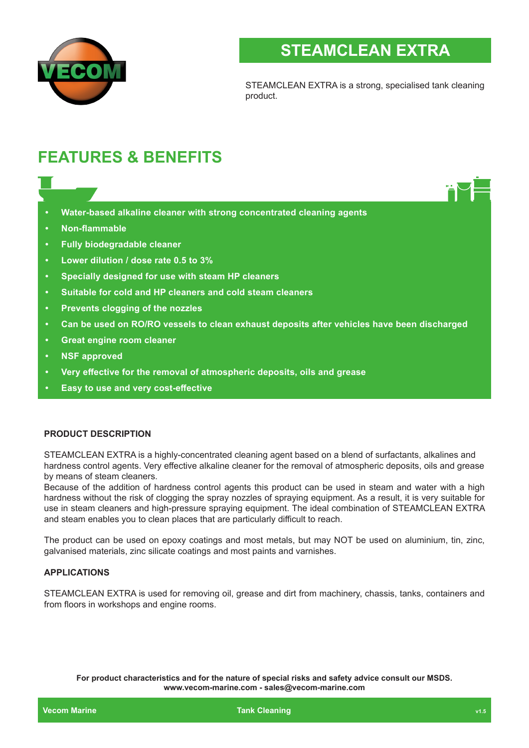

# **STEAMCLEAN EXTRA**

STEAMCLEAN EXTRA is a strong, specialised tank cleaning product.

# **FEATURES & BENEFITS**

- **• Water-based alkaline cleaner with strong concentrated cleaning agents**
- **• Non-flammable**
- **• Fully biodegradable cleaner**
- **• Lower dilution / dose rate 0.5 to 3%**
- **• Specially designed for use with steam HP cleaners**
- **• Suitable for cold and HP cleaners and cold steam cleaners**
- **• Prevents clogging of the nozzles**
- **• Can be used on RO/RO vessels to clean exhaust deposits after vehicles have been discharged**
- **• Great engine room cleaner**
- **• NSF approved**
- **• Very effective for the removal of atmospheric deposits, oils and grease**
- **• Easy to use and very cost-effective**

### **PRODUCT DESCRIPTION**

STEAMCLEAN EXTRA is a highly-concentrated cleaning agent based on a blend of surfactants, alkalines and hardness control agents. Very effective alkaline cleaner for the removal of atmospheric deposits, oils and grease by means of steam cleaners.

Because of the addition of hardness control agents this product can be used in steam and water with a high hardness without the risk of clogging the spray nozzles of spraying equipment. As a result, it is very suitable for use in steam cleaners and high-pressure spraying equipment. The ideal combination of STEAMCLEAN EXTRA and steam enables you to clean places that are particularly difficult to reach.

The product can be used on epoxy coatings and most metals, but may NOT be used on aluminium, tin, zinc, galvanised materials, zinc silicate coatings and most paints and varnishes.

## **APPLICATIONS**

STEAMCLEAN EXTRA is used for removing oil, grease and dirt from machinery, chassis, tanks, containers and from floors in workshops and engine rooms.

**For product characteristics and for the nature of special risks and safety advice consult our MSDS. www.vecom-marine.com - sales@vecom-marine.com**